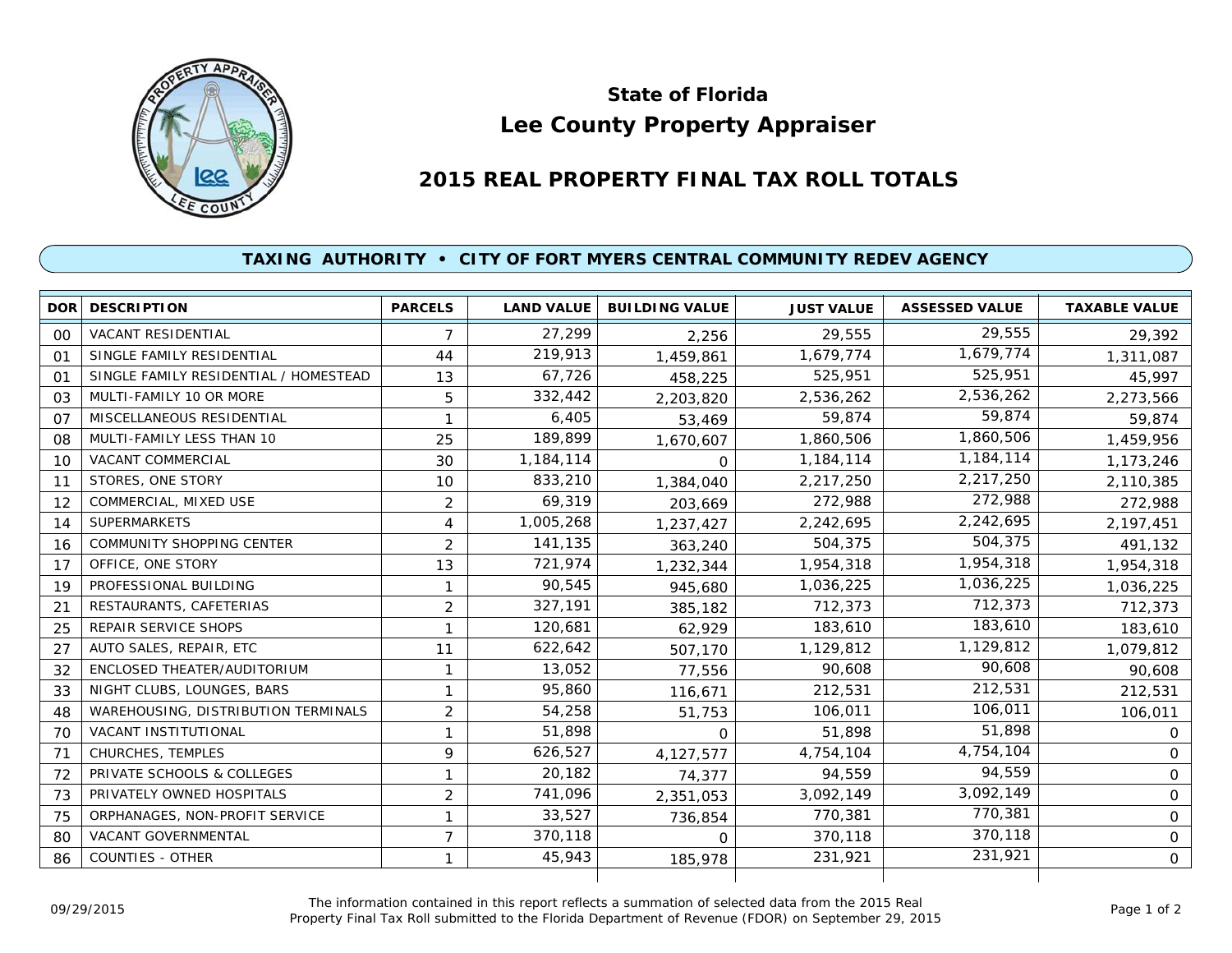

## **Lee County Property Appraiser State of Florida**

## **2015 REAL PROPERTY FINAL TAX ROLL TOTALS**

## **TAXING AUTHORITY • CITY OF FORT MYERS CENTRAL COMMUNITY REDEV AGENCY**

|         | <b>DOR DESCRIPTION</b>                | <b>PARCELS</b> | <b>LAND VALUE</b> | <b>BUILDING VALUE</b> | <b>JUST VALUE</b> | <b>ASSESSED VALUE</b> | <b>TAXABLE VALUE</b> |
|---------|---------------------------------------|----------------|-------------------|-----------------------|-------------------|-----------------------|----------------------|
| $00 \,$ | <b>VACANT RESIDENTIAL</b>             | $\overline{7}$ | 27,299            | 2,256                 | 29,555            | 29,555                | 29,392               |
| 01      | SINGLE FAMILY RESIDENTIAL             | 44             | 219,913           | 1,459,861             | 1,679,774         | 1,679,774             | 1,311,087            |
| 01      | SINGLE FAMILY RESIDENTIAL / HOMESTEAD | 13             | 67,726            | 458,225               | 525,951           | 525,951               | 45,997               |
| 03      | MULTI-FAMILY 10 OR MORE               | 5              | 332,442           | 2,203,820             | 2,536,262         | 2,536,262             | 2,273,566            |
| 07      | MISCELLANEOUS RESIDENTIAL             | 1              | 6,405             | 53,469                | 59,874            | 59,874                | 59,874               |
| 08      | MULTI-FAMILY LESS THAN 10             | 25             | 189,899           | 1,670,607             | 1,860,506         | 1,860,506             | 1,459,956            |
| 10      | <b>VACANT COMMERCIAL</b>              | 30             | 1,184,114         | $\Omega$              | 1,184,114         | 1,184,114             | 1,173,246            |
| 11      | STORES, ONE STORY                     | 10             | 833,210           | 1,384,040             | 2,217,250         | 2,217,250             | 2,110,385            |
| 12      | COMMERCIAL, MIXED USE                 | $\overline{2}$ | 69,319            | 203,669               | 272,988           | 272,988               | 272,988              |
| 14      | <b>SUPERMARKETS</b>                   | 4              | 1,005,268         | 1,237,427             | 2,242,695         | 2,242,695             | 2,197,451            |
| 16      | <b>COMMUNITY SHOPPING CENTER</b>      | $\overline{2}$ | 141,135           | 363,240               | 504,375           | 504,375               | 491,132              |
| 17      | OFFICE, ONE STORY                     | 13             | 721,974           | 1,232,344             | 1,954,318         | 1,954,318             | 1,954,318            |
| 19      | PROFESSIONAL BUILDING                 | 1              | 90,545            | 945,680               | 1,036,225         | 1,036,225             | 1,036,225            |
| 21      | RESTAURANTS, CAFETERIAS               | $\overline{2}$ | 327,191           | 385,182               | 712,373           | 712,373               | 712,373              |
| 25      | <b>REPAIR SERVICE SHOPS</b>           | 1              | 120,681           | 62,929                | 183,610           | 183,610               | 183,610              |
| 27      | AUTO SALES, REPAIR, ETC               | 11             | 622,642           | 507,170               | 1,129,812         | 1,129,812             | 1,079,812            |
| 32      | ENCLOSED THEATER/AUDITORIUM           | 1              | 13,052            | 77,556                | 90.608            | 90,608                | 90,608               |
| 33      | NIGHT CLUBS, LOUNGES, BARS            | 1              | 95,860            | 116,671               | 212,531           | 212,531               | 212,531              |
| 48      | WAREHOUSING, DISTRIBUTION TERMINALS   | $\overline{2}$ | 54,258            | 51,753                | 106,011           | 106,011               | 106,011              |
| 70      | VACANT INSTITUTIONAL                  | 1              | 51,898            | $\Omega$              | 51,898            | 51,898                | $\mathsf{O}$         |
| 71      | CHURCHES, TEMPLES                     | 9              | 626,527           | 4,127,577             | 4,754,104         | 4,754,104             | $\Omega$             |
| 72      | PRIVATE SCHOOLS & COLLEGES            | 1              | 20,182            | 74,377                | 94,559            | 94,559                | $\mathsf{O}$         |
| 73      | PRIVATELY OWNED HOSPITALS             | $\overline{2}$ | 741,096           | 2,351,053             | 3.092.149         | 3,092,149             | $\mathbf{O}$         |
| 75      | ORPHANAGES, NON-PROFIT SERVICE        | 1              | 33,527            | 736,854               | 770,381           | 770,381               | $\mathbf{O}$         |
| 80      | <b>VACANT GOVERNMENTAL</b>            | 7              | 370,118           | $\Omega$              | 370,118           | 370,118               | $\mathsf{O}$         |
| 86      | <b>COUNTIES - OTHER</b>               | 1              | 45,943            | 185,978               | 231,921           | 231,921               | $\mathsf{O}$         |
|         |                                       |                |                   |                       |                   |                       |                      |

The information contained in this report reflects a summation of selected data from the 2015 Real Ine information contained in this report reflects a summation of selected data from the 2015 Real<br>Property Final Tax Roll submitted to the Florida Department of Revenue (FDOR) on September 29, 2015